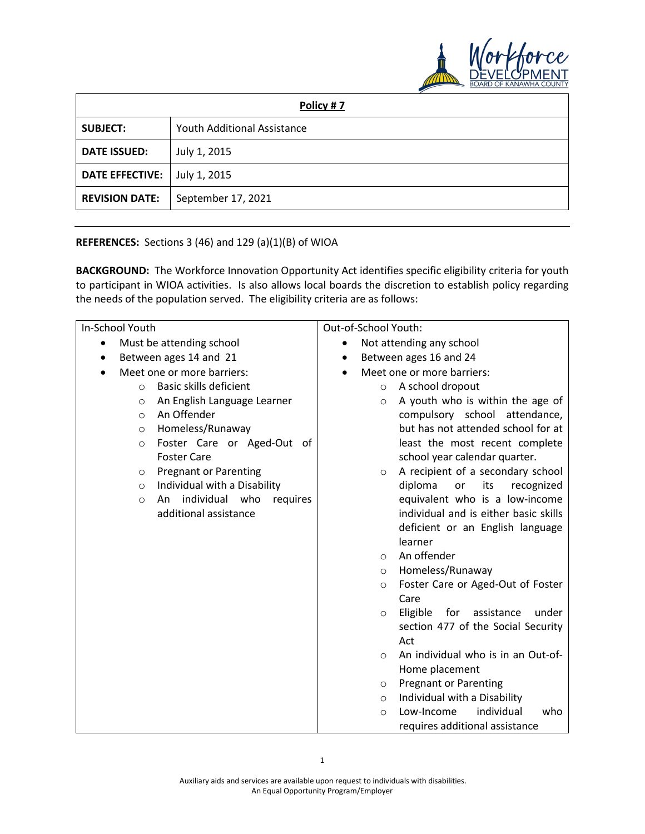

| Policy #7              |                             |  |  |  |
|------------------------|-----------------------------|--|--|--|
| <b>SUBJECT:</b>        | Youth Additional Assistance |  |  |  |
| <b>DATE ISSUED:</b>    | July 1, 2015                |  |  |  |
| <b>DATE EFFECTIVE:</b> | July 1, 2015                |  |  |  |
| <b>REVISION DATE:</b>  | September 17, 2021          |  |  |  |

## **REFERENCES:** Sections 3 (46) and 129 (a)(1)(B) of WIOA

**BACKGROUND:** The Workforce Innovation Opportunity Act identifies specific eligibility criteria for youth to participant in WIOA activities. Is also allows local boards the discretion to establish policy regarding the needs of the population served. The eligibility criteria are as follows:

| In-School Youth |                            |                                  | Out-of-School Youth:                    |          |                                                                           |
|-----------------|----------------------------|----------------------------------|-----------------------------------------|----------|---------------------------------------------------------------------------|
| $\bullet$       | Must be attending school   |                                  | Not attending any school<br>$\bullet$   |          |                                                                           |
| ٠               | Between ages 14 and 21     |                                  | Between ages 16 and 24                  |          |                                                                           |
|                 | Meet one or more barriers: |                                  | Meet one or more barriers:<br>$\bullet$ |          |                                                                           |
|                 | $\circ$                    | Basic skills deficient           |                                         | $\circ$  | A school dropout                                                          |
|                 | $\circ$                    | An English Language Learner      |                                         | $\circ$  | A youth who is within the age of                                          |
|                 | $\circ$                    | An Offender                      |                                         |          | compulsory school attendance,                                             |
|                 | $\circ$                    | Homeless/Runaway                 |                                         |          | but has not attended school for at                                        |
|                 | $\circ$                    | Foster Care or Aged-Out of       |                                         |          | least the most recent complete                                            |
|                 |                            | <b>Foster Care</b>               |                                         |          | school year calendar quarter.                                             |
|                 | $\circ$                    | <b>Pregnant or Parenting</b>     |                                         | $\circ$  | A recipient of a secondary school                                         |
|                 | $\circ$                    | Individual with a Disability     |                                         |          | diploma<br>or<br>its<br>recognized                                        |
|                 | $\circ$                    | individual who<br>An<br>requires |                                         |          | equivalent who is a low-income                                            |
|                 |                            | additional assistance            |                                         |          | individual and is either basic skills                                     |
|                 |                            |                                  |                                         |          | deficient or an English language                                          |
|                 |                            |                                  |                                         |          | learner                                                                   |
|                 |                            |                                  |                                         | $\circ$  | An offender                                                               |
|                 |                            |                                  |                                         | $\circ$  | Homeless/Runaway                                                          |
|                 |                            |                                  |                                         | $\circ$  | Foster Care or Aged-Out of Foster<br>Care                                 |
|                 |                            |                                  |                                         |          |                                                                           |
|                 |                            |                                  |                                         | $\circ$  | Eligible<br>for assistance<br>under<br>section 477 of the Social Security |
|                 |                            |                                  |                                         |          | Act                                                                       |
|                 |                            |                                  |                                         | $\Omega$ | An individual who is in an Out-of-                                        |
|                 |                            |                                  |                                         |          | Home placement                                                            |
|                 |                            |                                  |                                         | O        | <b>Pregnant or Parenting</b>                                              |
|                 |                            |                                  |                                         | $\circ$  | Individual with a Disability                                              |
|                 |                            |                                  |                                         | $\circ$  | individual<br>who<br>Low-Income                                           |
|                 |                            |                                  |                                         |          | requires additional assistance                                            |